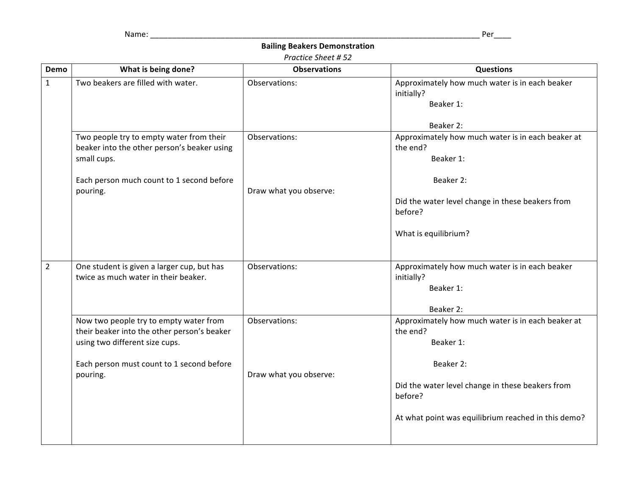Name: \_\_\_\_\_\_\_\_\_\_\_\_\_\_\_\_\_\_\_\_\_\_\_\_\_\_\_\_\_\_\_\_\_\_\_\_\_\_\_\_\_\_\_\_\_\_\_\_\_\_\_\_\_\_\_\_\_\_\_\_\_\_\_\_\_\_\_\_\_\_\_\_\_\_\_ Per\_\_\_\_

## **Bailing Beakers Demonstration**

## *Practice Sheet # 52*

| Demo           | What is being done?                                                                                                     | <b>Observations</b>    | <b>Questions</b>                                                           |
|----------------|-------------------------------------------------------------------------------------------------------------------------|------------------------|----------------------------------------------------------------------------|
| $\mathbf{1}$   | Two beakers are filled with water.                                                                                      | Observations:          | Approximately how much water is in each beaker<br>initially?<br>Beaker 1:  |
|                |                                                                                                                         |                        | Beaker 2:                                                                  |
|                | Two people try to empty water from their<br>beaker into the other person's beaker using<br>small cups.                  | Observations:          | Approximately how much water is in each beaker at<br>the end?<br>Beaker 1: |
|                | Each person much count to 1 second before<br>pouring.                                                                   | Draw what you observe: | Beaker 2:                                                                  |
|                |                                                                                                                         |                        | Did the water level change in these beakers from<br>before?                |
|                |                                                                                                                         |                        | What is equilibrium?                                                       |
| $\overline{2}$ | One student is given a larger cup, but has<br>twice as much water in their beaker.                                      | Observations:          | Approximately how much water is in each beaker<br>initially?<br>Beaker 1:  |
|                |                                                                                                                         |                        | Beaker 2:                                                                  |
|                | Now two people try to empty water from<br>their beaker into the other person's beaker<br>using two different size cups. | Observations:          | Approximately how much water is in each beaker at<br>the end?<br>Beaker 1: |
|                | Each person must count to 1 second before<br>pouring.                                                                   | Draw what you observe: | Beaker 2:                                                                  |
|                |                                                                                                                         |                        | Did the water level change in these beakers from<br>before?                |
|                |                                                                                                                         |                        | At what point was equilibrium reached in this demo?                        |